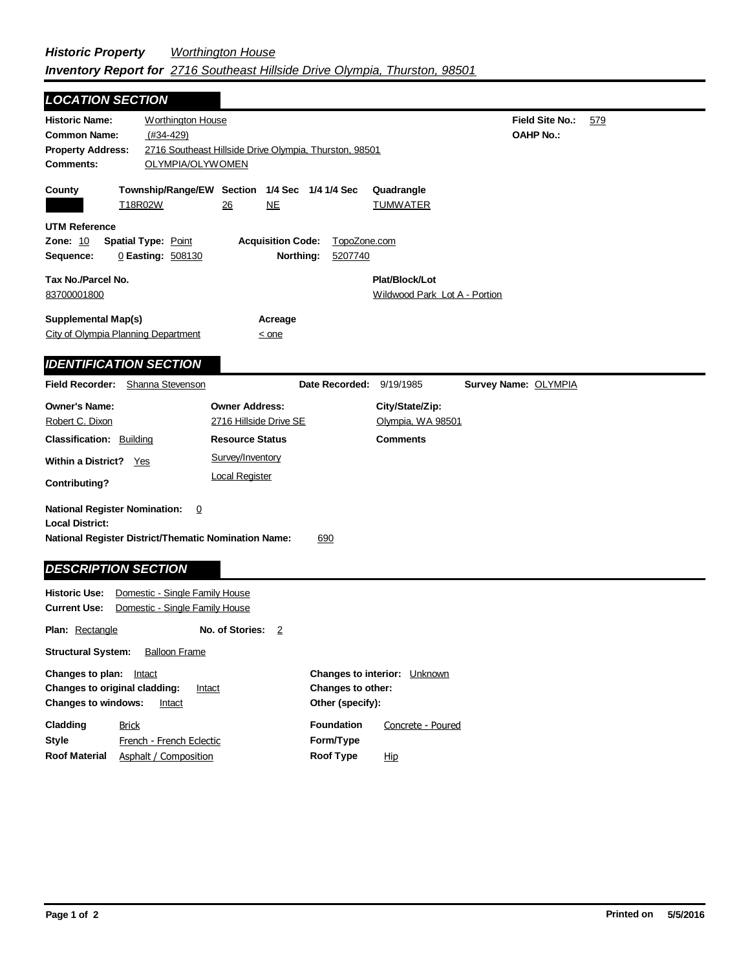| <b>LOCATION SECTION</b>                                                                                                |                                                                  |                                                                  |                                      |                                                 |                                            |     |
|------------------------------------------------------------------------------------------------------------------------|------------------------------------------------------------------|------------------------------------------------------------------|--------------------------------------|-------------------------------------------------|--------------------------------------------|-----|
| <b>Historic Name:</b><br><b>Common Name:</b><br><b>Property Address:</b><br><b>Comments:</b>                           | <b>Worthington House</b><br>$(#34-429)$<br>OLYMPIA/OLYWOMEN      | 2716 Southeast Hillside Drive Olympia, Thurston, 98501           |                                      |                                                 | <b>Field Site No.:</b><br><b>OAHP No.:</b> | 579 |
| County                                                                                                                 | T18R02W                                                          | Township/Range/EW Section 1/4 Sec 1/4 1/4 Sec<br>26<br><u>NE</u> |                                      | Quadrangle<br><b>TUMWATER</b>                   |                                            |     |
| <b>UTM Reference</b><br>Zone: 10<br>Sequence:                                                                          | <b>Spatial Type: Point</b><br>0 Easting: 508130                  | <b>Acquisition Code:</b>                                         | TopoZone.com<br>Northing:<br>5207740 |                                                 |                                            |     |
| Tax No./Parcel No.<br>83700001800                                                                                      |                                                                  |                                                                  |                                      | Plat/Block/Lot<br>Wildwood Park Lot A - Portion |                                            |     |
| <b>Supplemental Map(s)</b><br>City of Olympia Planning Department                                                      |                                                                  | Acreage<br>$<$ one                                               |                                      |                                                 |                                            |     |
| <b>IDENTIFICATION SECTION</b>                                                                                          |                                                                  |                                                                  |                                      |                                                 |                                            |     |
| Field Recorder: Shanna Stevenson                                                                                       |                                                                  |                                                                  | Date Recorded: 9/19/1985             |                                                 | Survey Name: OLYMPIA                       |     |
| <b>Owner's Name:</b><br>Robert C. Dixon                                                                                |                                                                  | <b>Owner Address:</b><br>2716 Hillside Drive SE                  |                                      | City/State/Zip:<br>Olympia, WA 98501            |                                            |     |
| <b>Classification: Building</b>                                                                                        |                                                                  | <b>Resource Status</b>                                           |                                      | <b>Comments</b>                                 |                                            |     |
| Within a District? Yes<br>Contributing?                                                                                |                                                                  | Survey/Inventory<br><b>Local Register</b>                        |                                      |                                                 |                                            |     |
| <b>National Register Nomination:</b><br><b>Local District:</b><br>National Register District/Thematic Nomination Name: | 0                                                                |                                                                  | 690                                  |                                                 |                                            |     |
| <b>DESCRIPTION SECTION</b>                                                                                             |                                                                  |                                                                  |                                      |                                                 |                                            |     |
| <b>Historic Use:</b><br><b>Current Use:</b>                                                                            | Domestic - Single Family House<br>Domestic - Single Family House |                                                                  |                                      |                                                 |                                            |     |
| <b>Plan: Rectangle</b>                                                                                                 |                                                                  | No. of Stories: 2                                                |                                      |                                                 |                                            |     |
| <b>Structural System:</b>                                                                                              | <b>Balloon Frame</b>                                             |                                                                  |                                      |                                                 |                                            |     |
| والمنافر المتمر والمتناوب والمستحدث                                                                                    |                                                                  |                                                                  | $\sim$                               | .                                               |                                            |     |

| Changes to plan:           | Intact                                         |                   | <b>Changes to interior:</b> Unknown |  |  |
|----------------------------|------------------------------------------------|-------------------|-------------------------------------|--|--|
|                            | <b>Changes to original cladding:</b><br>Intact | Changes to other: |                                     |  |  |
| <b>Changes to windows:</b> | Intact                                         | Other (specify):  |                                     |  |  |
| Cladding                   | <b>Brick</b>                                   | <b>Foundation</b> | Concrete - Poured                   |  |  |
| Style                      | French - French Eclectic                       | Form/Type         |                                     |  |  |
| <b>Roof Material</b>       | Asphalt / Composition                          | <b>Roof Type</b>  | <u>Hip</u>                          |  |  |
|                            |                                                |                   |                                     |  |  |